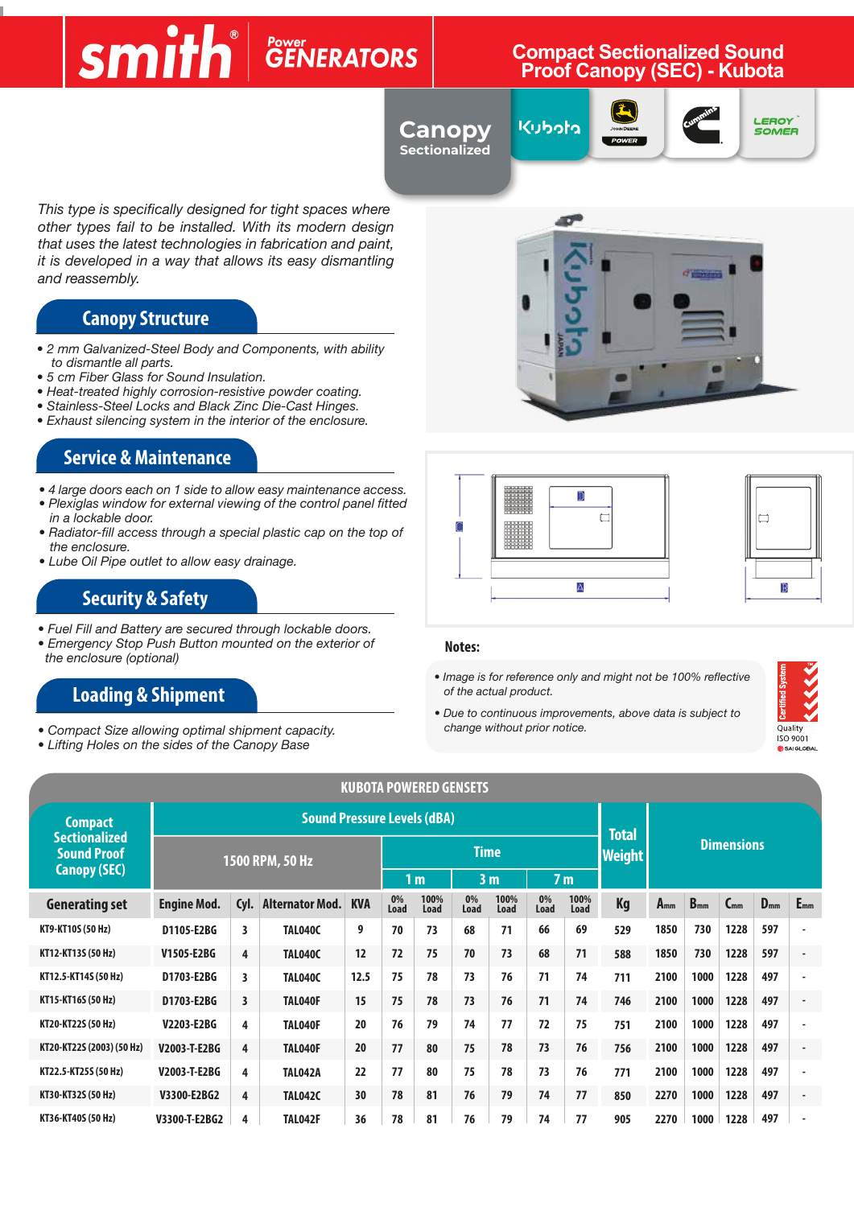#### **Compact Source Sound Broof Canopy (SEC) - Kubota Compact Sectionalized Sound Proof Canopy (SEC) - Kubota**

**Canopy Sectionalized**

Kubota







*This type is specifically designed for tight spaces where other types fail to be installed. With its modern design that uses the latest technologies in fabrication and paint, it is developed in a way that allows its easy dismantling and reassembly.*

### **Canopy Structure**

- *2 mm Galvanized-Steel Body and Components, with ability to dismantle all parts.*
- *5 cm Fiber Glass for Sound Insulation.*
- *Heat-treated highly corrosion-resistive powder coating.*
- *Stainless-Steel Locks and Black Zinc Die-Cast Hinges.*
- *Exhaust silencing system in the interior of the enclosure.*

#### **Service & Maintenance**

- *4 large doors each on 1 side to allow easy maintenance access.*
- *Plexiglas window for external viewing of the control panel fitted in a lockable door.*
- *Radiator-fill access through a special plastic cap on the top of the enclosure.*
- *Lube Oil Pipe outlet to allow easy drainage.*

### **Security & Safety**

- *Fuel Fill and Battery are secured through lockable doors.*
- *Emergency Stop Push Button mounted on the exterior of the enclosure (optional)*

### **Loading & Shipment**

- *Compact Size allowing optimal shipment capacity.*
- *Lifting Holes on the sides of the Canopy Base*







#### **Notes:**

*• Image is for reference only and might not be 100% reflective of the actual product.*





|                                            |                    |      |                                    |            |                                  | <b>KUBOTA POWERED GENSETS</b> |             |              |                |                               |                   |          |          |          |          |                          |
|--------------------------------------------|--------------------|------|------------------------------------|------------|----------------------------------|-------------------------------|-------------|--------------|----------------|-------------------------------|-------------------|----------|----------|----------|----------|--------------------------|
| Compact                                    |                    |      | <b>Sound Pressure Levels (dBA)</b> |            |                                  |                               |             |              |                |                               |                   |          |          |          |          |                          |
| <b>Sectionalized</b><br><b>Sound Proof</b> | 1500 RPM, 50 Hz    |      |                                    |            |                                  |                               | <b>Time</b> |              |                | <b>Total</b><br><b>Weight</b> | <b>Dimensions</b> |          |          |          |          |                          |
| <b>Canopy (SEC)</b>                        |                    |      |                                    |            | 3 <sub>m</sub><br>1 <sub>m</sub> |                               |             |              | 7 <sub>m</sub> |                               |                   |          |          |          |          |                          |
| <b>Generating set</b>                      | <b>Engine Mod.</b> | Cyl. | <b>Alternator Mod.</b>             | <b>KVA</b> | 0%<br>Load                       | 100%<br>Load                  | 0%<br>Load  | 100%<br>Load | 0%<br>Load     | 100%<br>Load                  | <b>Kg</b>         | $A_{mm}$ | $B_{mm}$ | $C_{mm}$ | $D_{mm}$ | $E_{mm}$                 |
| KT9-KT10S (50 Hz)                          | D1105-E2BG         | 3    | TAL040C                            | 9          | 70                               | 73                            | 68          | 71           | 66             | 69                            | 529               | 1850     | 730      | 1228     | 597      |                          |
| KT12-KT13S (50 Hz)                         | V1505-E2BG         | 4    | TAL040C                            | 12         | 72                               | 75                            | 70          | 73           | 68             | 71                            | 588               | 1850     | 730      | 1228     | 597      |                          |
| KT12.5-KT14S (50 Hz)                       | D1703-E2BG         | 3    | TAL040C                            | 12.5       | 75                               | 78                            | 73          | 76           | 71             | 74                            | 711               | 2100     | 1000     | 1228     | 497      | $\overline{\phantom{a}}$ |
| KT15-KT16S (50 Hz)                         | D1703-E2BG         | 3    | TAL040F                            | 15         | 75                               | 78                            | 73          | 76           | 71             | 74                            | 746               | 2100     | 1000     | 1228     | 497      | $\overline{\phantom{a}}$ |
| KT20-KT22S (50 Hz)                         | V2203-E2BG         | 4    | TAL040F                            | 20         | 76                               | 79                            | 74          | 77           | 72             | 75                            | 751               | 2100     | 1000     | 1228     | 497      |                          |
| KT20-KT22S (2003) (50 Hz)                  | V2003-T-E2BG       | 4    | TAL040F                            | 20         | 77                               | 80                            | 75          | 78           | 73             | 76                            | 756               | 2100     | 1000     | 1228     | 497      | $\overline{\phantom{a}}$ |
| KT22.5-KT25S (50 Hz)                       | V2003-T-E2BG       | 4    | <b>TAL042A</b>                     | 22         | 77                               | 80                            | 75          | 78           | 73             | 76                            | 771               | 2100     | 1000     | 1228     | 497      |                          |
| KT30-KT32S (50 Hz)                         | V3300-E2BG2        | 4    | <b>TAL042C</b>                     | 30         | 78                               | 81                            | 76          | 79           | 74             | 77                            | 850               | 2270     | 1000     | 1228     | 497      | $\overline{\phantom{a}}$ |
| KT36-KT40S (50 Hz)                         | V3300-T-E2BG2      | 4    | TAL042F                            | 36         | 78                               | 81                            | 76          | 79           | 74             | 77                            | 905               | 2270     | 1000     | 1228     | 497      |                          |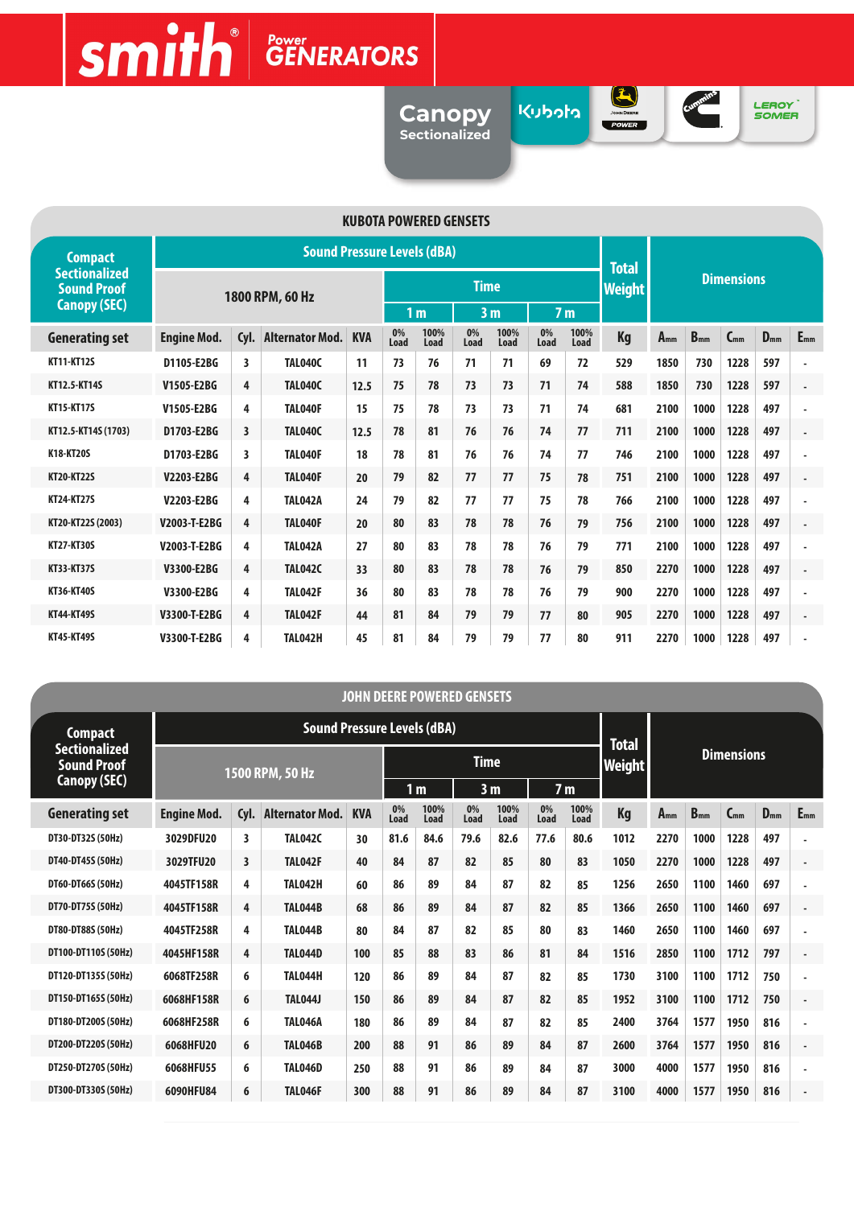# $\text{Smith}$ <sup>e</sup>

**Canopy Sectionalized** **בלפלע** 



Cummins

LEROY<sup>"</sup><br>SOMER

| <b>KUBOTA POWERED GENSETS</b>              |                    |                         |                                    |            |                                  |              |             |              |                |               |                   |          |          |          |          |                          |  |
|--------------------------------------------|--------------------|-------------------------|------------------------------------|------------|----------------------------------|--------------|-------------|--------------|----------------|---------------|-------------------|----------|----------|----------|----------|--------------------------|--|
| <b>Compact</b>                             |                    |                         | <b>Sound Pressure Levels (dBA)</b> |            |                                  |              |             |              |                |               | <b>Total</b>      |          |          |          |          |                          |  |
| <b>Sectionalized</b><br><b>Sound Proof</b> | 1800 RPM, 60 Hz    |                         |                                    |            |                                  |              | <b>Time</b> |              |                | <b>Weight</b> | <b>Dimensions</b> |          |          |          |          |                          |  |
| <b>Canopy (SEC)</b>                        |                    |                         |                                    |            | 1 <sub>m</sub><br>3 <sub>m</sub> |              |             |              | 7 <sub>m</sub> |               |                   |          |          |          |          |                          |  |
| <b>Generating set</b>                      | <b>Engine Mod.</b> | Cyl.                    | <b>Alternator Mod.</b>             | <b>KVA</b> | 0%<br>Load                       | 100%<br>Load | 0%<br>Load  | 100%<br>Load | 0%<br>Load     | 100%<br>Load  | Kg                | $A_{mm}$ | $B_{mm}$ | $C_{mm}$ | $D_{mm}$ | $E_{mm}$                 |  |
| <b>KT11-KT12S</b>                          | D1105-E2BG         | 3                       | <b>TAL040C</b>                     | 11         | 73                               | 76           | 71          | 71           | 69             | 72            | 529               | 1850     | 730      | 1228     | 597      | $\overline{\phantom{a}}$ |  |
| KT12.5-KT14S                               | V1505-E2BG         | 4                       | <b>TAL040C</b>                     | 12.5       | 75                               | 78           | 73          | 73           | 71             | 74            | 588               | 1850     | 730      | 1228     | 597      | ٠                        |  |
| <b>KT15-KT17S</b>                          | V1505-E2BG         | 4                       | TAL040F                            | 15         | 75                               | 78           | 73          | 73           | 71             | 74            | 681               | 2100     | 1000     | 1228     | 497      |                          |  |
| KT12.5-KT14S (1703)                        | D1703-E2BG         | $\overline{\mathbf{3}}$ | <b>TAL040C</b>                     | 12.5       | 78                               | 81           | 76          | 76           | 74             | 77            | 711               | 2100     | 1000     | 1228     | 497      | ÷.                       |  |
| K18-KT20S                                  | D1703-E2BG         | 3                       | <b>TAL040F</b>                     | 18         | 78                               | 81           | 76          | 76           | 74             | 77            | 746               | 2100     | 1000     | 1228     | 497      |                          |  |
| <b>KT20-KT22S</b>                          | V2203-E2BG         | 4                       | <b>TAL040F</b>                     | 20         | 79                               | 82           | 77          | 77           | 75             | 78            | 751               | 2100     | 1000     | 1228     | 497      | $\overline{\phantom{a}}$ |  |
| <b>KT24-KT27S</b>                          | V2203-E2BG         | 4                       | <b>TAL042A</b>                     | 24         | 79                               | 82           | 77          | 77           | 75             | 78            | 766               | 2100     | 1000     | 1228     | 497      | ٠                        |  |
| KT20-KT22S (2003)                          | V2003-T-E2BG       | 4                       | <b>TAL040F</b>                     | 20         | 80                               | 83           | 78          | 78           | 76             | 79            | 756               | 2100     | 1000     | 1228     | 497      | $\blacksquare$           |  |
| <b>KT27-KT30S</b>                          | V2003-T-E2BG       | 4                       | <b>TAL042A</b>                     | 27         | 80                               | 83           | 78          | 78           | 76             | 79            | 771               | 2100     | 1000     | 1228     | 497      | ä,                       |  |
| KT33-KT37S                                 | V3300-E2BG         | 4                       | <b>TAL042C</b>                     | 33         | 80                               | 83           | 78          | 78           | 76             | 79            | 850               | 2270     | 1000     | 1228     | 497      | ٠                        |  |
| KT36-KT40S                                 | V3300-E2BG         | 4                       | <b>TAL042F</b>                     | 36         | 80                               | 83           | 78          | 78           | 76             | 79            | 900               | 2270     | 1000     | 1228     | 497      |                          |  |
| <b>KT44-KT49S</b>                          | V3300-T-E2BG       | 4                       | <b>TAL042F</b>                     | 44         | 81                               | 84           | 79          | 79           | 77             | 80            | 905               | 2270     | 1000     | 1228     | 497      | $\overline{a}$           |  |
| <b>KT45-KT49S</b>                          | V3300-T-E2BG       | 4                       | <b>TAL042H</b>                     | 45         | 81                               | 84           | 79          | 79           | 77             | 80            | 911               | 2270     | 1000     | 1228     | 497      |                          |  |

| <b>JOHN DEERE POWERED GENSETS</b> |                                            |                    |                         |                                    |              |            |                                  |             |              |            |                |                   |          |          |          |          |                          |
|-----------------------------------|--------------------------------------------|--------------------|-------------------------|------------------------------------|--------------|------------|----------------------------------|-------------|--------------|------------|----------------|-------------------|----------|----------|----------|----------|--------------------------|
|                                   | Compact                                    |                    |                         | <b>Sound Pressure Levels (dBA)</b> | <b>Total</b> |            |                                  |             |              |            |                |                   |          |          |          |          |                          |
|                                   | <b>Sectionalized</b><br><b>Sound Proof</b> | 1500 RPM, 50 Hz    |                         |                                    |              |            |                                  | <b>Time</b> |              |            | <b>Weight</b>  | <b>Dimensions</b> |          |          |          |          |                          |
|                                   | Canopy (SEC)                               |                    |                         |                                    |              |            | 1 <sub>m</sub><br>3 <sub>m</sub> |             |              |            | 7 <sub>m</sub> |                   |          |          |          |          |                          |
|                                   | <b>Generating set</b>                      | <b>Engine Mod.</b> | Cyl.                    | <b>Alternator Mod.</b>             | <b>KVA</b>   | 0%<br>Load | 100%<br>Load                     | 0%<br>Load  | 100%<br>Load | 0%<br>Load | 100%<br>Load   | Kg                | $A_{mm}$ | $B_{mm}$ | $C_{mm}$ | $D_{mm}$ | $E_{mm}$                 |
|                                   | DT30-DT32S (50Hz)                          | 3029DFU20          | 3                       | <b>TAL042C</b>                     | 30           | 81.6       | 84.6                             | 79.6        | 82.6         | 77.6       | 80.6           | 1012              | 2270     | 1000     | 1228     | 497      | ٠                        |
|                                   | DT40-DT45S (50Hz)                          | 3029TFU20          | $\overline{\mathbf{3}}$ | <b>TAL042F</b>                     | 40           | 84         | 87                               | 82          | 85           | 80         | 83             | 1050              | 2270     | 1000     | 1228     | 497      | $\blacksquare$           |
|                                   | DT60-DT66S (50Hz)                          | 4045TF158R         | 4                       | <b>TAL042H</b>                     | 60           | 86         | 89                               | 84          | 87           | 82         | 85             | 1256              | 2650     | 1100     | 1460     | 697      | ٠                        |
|                                   | DT70-DT75S (50Hz)                          | 4045TF158R         | 4                       | <b>TAL044B</b>                     | 68           | 86         | 89                               | 84          | 87           | 82         | 85             | 1366              | 2650     | 1100     | 1460     | 697      | $\overline{\phantom{a}}$ |
|                                   | DT80-DT88S (50Hz)                          | 4045TF258R         | 4                       | <b>TAL044B</b>                     | 80           | 84         | 87                               | 82          | 85           | 80         | 83             | 1460              | 2650     | 1100     | 1460     | 697      |                          |
|                                   | DT100-DT110S (50Hz)                        | 4045HF158R         | 4                       | <b>TAL044D</b>                     | 100          | 85         | 88                               | 83          | 86           | 81         | 84             | 1516              | 2850     | 1100     | 1712     | 797      | $\blacksquare$           |
|                                   | DT120-DT135S (50Hz)                        | 6068TF258R         | 6                       | TAL044H                            | 120          | 86         | 89                               | 84          | 87           | 82         | 85             | 1730              | 3100     | 1100     | 1712     | 750      | ٠                        |
|                                   | DT150-DT165S (50Hz)                        | 6068HF158R         | 6                       | <b>TAL044J</b>                     | 150          | 86         | 89                               | 84          | 87           | 82         | 85             | 1952              | 3100     | 1100     | 1712     | 750      | ÷,                       |
|                                   | DT180-DT200S (50Hz)                        | 6068HF258R         | 6                       | TAL046A                            | 180          | 86         | 89                               | 84          | 87           | 82         | 85             | 2400              | 3764     | 1577     | 1950     | 816      |                          |
|                                   | DT200-DT220S (50Hz)                        | 6068HFU20          | 6                       | <b>TAL046B</b>                     | 200          | 88         | 91                               | 86          | 89           | 84         | 87             | 2600              | 3764     | 1577     | 1950     | 816      | $\overline{\phantom{a}}$ |
|                                   | DT250-DT270S (50Hz)                        | 6068HFU55          | 6                       | <b>TAL046D</b>                     | 250          | 88         | 91                               | 86          | 89           | 84         | 87             | 3000              | 4000     | 1577     | 1950     | 816      | $\overline{\phantom{a}}$ |
|                                   | DT300-DT330S (50Hz)                        | 6090HFU84          | 6                       | <b>TAL046F</b>                     | 300          | 88         | 91                               | 86          | 89           | 84         | 87             | 3100              | 4000     | 1577     | 1950     | 816      | $\blacksquare$           |
|                                   |                                            |                    |                         |                                    |              |            |                                  |             |              |            |                |                   |          |          |          |          |                          |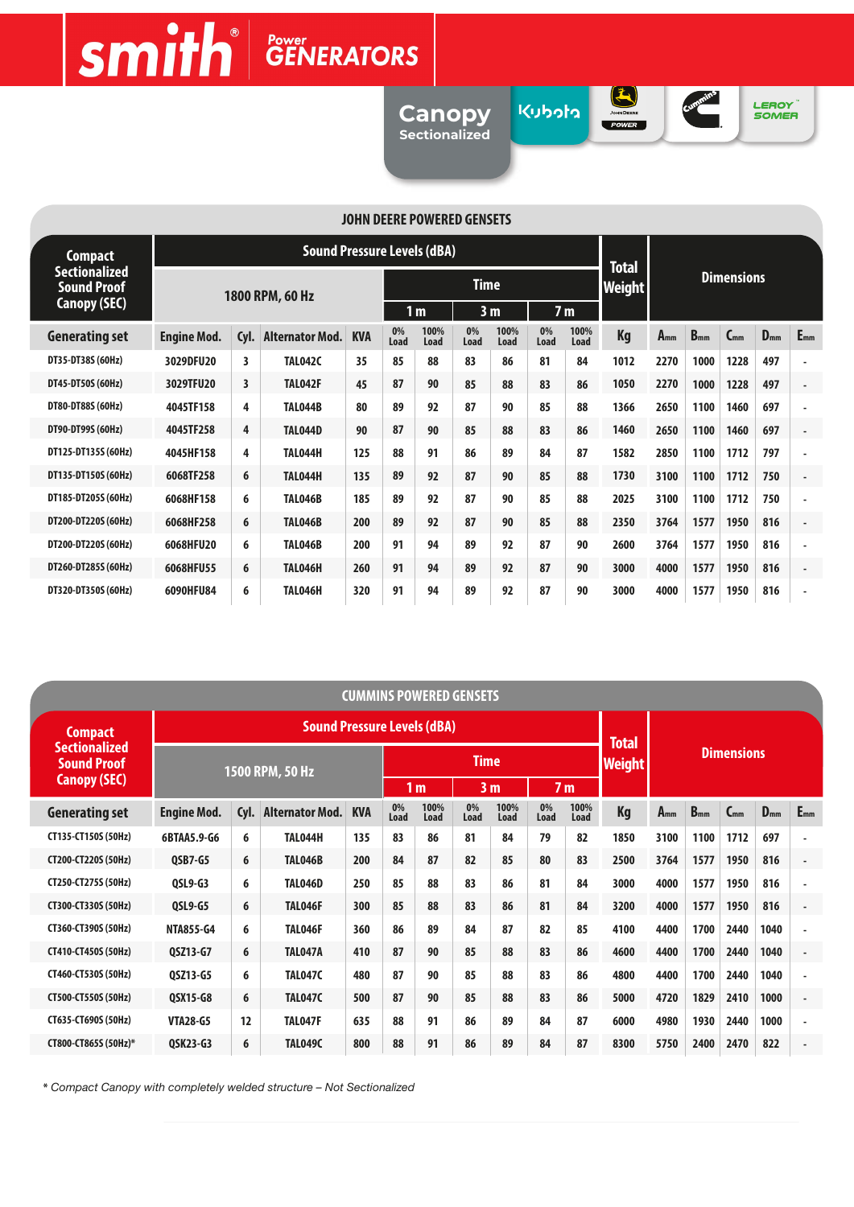# $\text{Smith}$ <sup>e</sup>

**Canopy Sectionalized**

ג<br>ג<mark>ו</mark>טקו

JOHN DEERE



LEROY<br>SOMER

| <b>JOHN DEERE POWERED GENSETS</b>          |                    |                 |                                    |              |            |              |                                  |              |            |                |                   |          |          |          |          |                |
|--------------------------------------------|--------------------|-----------------|------------------------------------|--------------|------------|--------------|----------------------------------|--------------|------------|----------------|-------------------|----------|----------|----------|----------|----------------|
| <b>Compact</b>                             |                    |                 | <b>Sound Pressure Levels (dBA)</b> | <b>Total</b> |            |              |                                  |              |            |                |                   |          |          |          |          |                |
| <b>Sectionalized</b><br><b>Sound Proof</b> |                    | 1800 RPM, 60 Hz |                                    |              |            |              | <b>Time</b>                      |              |            | Weight         | <b>Dimensions</b> |          |          |          |          |                |
| <b>Canopy (SEC)</b>                        |                    |                 |                                    |              |            |              | 3 <sub>m</sub><br>1 <sub>m</sub> |              |            | 7 <sub>m</sub> |                   |          |          |          |          |                |
| <b>Generating set</b>                      | <b>Engine Mod.</b> | Cyl.            | <b>Alternator Mod.</b>             | <b>KVA</b>   | 0%<br>Load | 100%<br>Load | 0%<br>Load                       | 100%<br>Load | 0%<br>Load | 100%<br>Load   | Kg                | $A_{mm}$ | $B_{mm}$ | $C_{mm}$ | $D_{mm}$ | $E_{mm}$       |
| DT35-DT38S (60Hz)                          | 3029DFU20          | 3               | <b>TAL042C</b>                     | 35           | 85         | 88           | 83                               | 86           | 81         | 84             | 1012              | 2270     | 1000     | 1228     | 497      |                |
| DT45-DT50S (60Hz)                          | 3029TFU20          | 3               | <b>TAL042F</b>                     | 45           | 87         | 90           | 85                               | 88           | 83         | 86             | 1050              | 2270     | 1000     | 1228     | 497      |                |
| DT80-DT88S (60Hz)                          | 4045TF158          | 4               | <b>TAL044B</b>                     | 80           | 89         | 92           | 87                               | 90           | 85         | 88             | 1366              | 2650     | 1100     | 1460     | 697      |                |
| DT90-DT99S (60Hz)                          | 4045TF258          | 4               | <b>TAL044D</b>                     | 90           | 87         | 90           | 85                               | 88           | 83         | 86             | 1460              | 2650     | 1100     | 1460     | 697      | $\blacksquare$ |
| DT125-DT135S (60Hz)                        | 4045HF158          | 4               | TAL044H                            | 125          | 88         | 91           | 86                               | 89           | 84         | 87             | 1582              | 2850     | 1100     | 1712     | 797      |                |
| DT135-DT150S (60Hz)                        | 6068TF258          | 6               | TAL044H                            | 135          | 89         | 92           | 87                               | 90           | 85         | 88             | 1730              | 3100     | 1100     | 1712     | 750      |                |
| DT185-DT205S (60Hz)                        | 6068HF158          | 6               | <b>TAL046B</b>                     | 185          | 89         | 92           | 87                               | 90           | 85         | 88             | 2025              | 3100     | 1100     | 1712     | 750      |                |
| DT200-DT220S (60Hz)                        | 6068HF258          | 6               | <b>TAL046B</b>                     | 200          | 89         | 92           | 87                               | 90           | 85         | 88             | 2350              | 3764     | 1577     | 1950     | 816      |                |
| DT200-DT220S (60Hz)                        | 6068HFU20          | 6               | <b>TAL046B</b>                     | 200          | 91         | 94           | 89                               | 92           | 87         | 90             | 2600              | 3764     | 1577     | 1950     | 816      |                |
| DT260-DT285S (60Hz)                        | 6068HFU55          | 6               | <b>TAL046H</b>                     | 260          | 91         | 94           | 89                               | 92           | 87         | 90             | 3000              | 4000     | 1577     | 1950     | 816      |                |
| DT320-DT350S (60Hz)                        | 6090HFU84          | 6               | <b>TAL046H</b>                     | 320          | 91         | 94           | 89                               | 92           | 87         | 90             | 3000              | 4000     | 1577     | 1950     | 816      |                |

| <b>CUMMINS POWERED GENSETS</b>             |                    |      |                                    |            |            |                |             |                |            |                |                   |          |          |          |          |                          |  |
|--------------------------------------------|--------------------|------|------------------------------------|------------|------------|----------------|-------------|----------------|------------|----------------|-------------------|----------|----------|----------|----------|--------------------------|--|
| Compact                                    |                    |      | <b>Sound Pressure Levels (dBA)</b> |            |            |                |             |                |            |                | <b>Total</b>      |          |          |          |          |                          |  |
| <b>Sectionalized</b><br><b>Sound Proof</b> | 1500 RPM, 50 Hz    |      |                                    |            |            |                | <b>Time</b> |                |            | <b>Weight</b>  | <b>Dimensions</b> |          |          |          |          |                          |  |
| <b>Canopy (SEC)</b>                        |                    |      |                                    |            |            | 1 <sub>m</sub> |             | 3 <sub>m</sub> |            | 7 <sub>m</sub> |                   |          |          |          |          |                          |  |
| <b>Generating set</b>                      | <b>Engine Mod.</b> | Cyl. | <b>Alternator Mod.</b>             | <b>KVA</b> | 0%<br>Load | 100%<br>Load   | 0%<br>Load  | 100%<br>Load   | 0%<br>Load | 100%<br>Load   | Kg                | $A_{mm}$ | $B_{mm}$ | $C_{mm}$ | $D_{mm}$ | $E_{mm}$                 |  |
| CT135-CT150S (50Hz)                        | 6BTAA5.9-G6        | 6    | TAL044H                            | 135        | 83         | 86             | 81          | 84             | 79         | 82             | 1850              | 3100     | 1100     | 1712     | 697      | $\blacksquare$           |  |
| CT200-CT220S (50Hz)                        | <b>OSB7-G5</b>     | 6    | <b>TAL046B</b>                     | 200        | 84         | 87             | 82          | 85             | 80         | 83             | 2500              | 3764     | 1577     | 1950     | 816      | $\blacksquare$           |  |
| CT250-CT275S (50Hz)                        | <b>QSL9-G3</b>     | 6    | <b>TAL046D</b>                     | 250        | 85         | 88             | 83          | 86             | 81         | 84             | 3000              | 4000     | 1577     | 1950     | 816      | $\blacksquare$           |  |
| CT300-CT330S (50Hz)                        | <b>OSL9-G5</b>     | 6    | TAL046F                            | 300        | 85         | 88             | 83          | 86             | 81         | 84             | 3200              | 4000     | 1577     | 1950     | 816      | $\overline{\phantom{a}}$ |  |
| CT360-CT390S (50Hz)                        | <b>NTA855-G4</b>   | 6    | TAL046F                            | 360        | 86         | 89             | 84          | 87             | 82         | 85             | 4100              | 4400     | 1700     | 2440     | 1040     | $\blacksquare$           |  |
| CT410-CT450S (50Hz)                        | 0SZ13-G7           | 6    | TAL047A                            | 410        | 87         | 90             | 85          | 88             | 83         | 86             | 4600              | 4400     | 1700     | 2440     | 1040     | $\blacksquare$           |  |
| CT460-CT530S (50Hz)                        | QSZ13-G5           | 6    | TAL047C                            | 480        | 87         | 90             | 85          | 88             | 83         | 86             | 4800              | 4400     | 1700     | 2440     | 1040     | $\blacksquare$           |  |
| CT500-CT550S (50Hz)                        | QSX15-G8           | 6    | TAL047C                            | 500        | 87         | 90             | 85          | 88             | 83         | 86             | 5000              | 4720     | 1829     | 2410     | 1000     | $\overline{\phantom{a}}$ |  |
| CT635-CT690S (50Hz)                        | <b>VTA28-G5</b>    | 12   | <b>TAL047F</b>                     | 635        | 88         | 91             | 86          | 89             | 84         | 87             | 6000              | 4980     | 1930     | 2440     | 1000     | $\blacksquare$           |  |
| CT800-CT865S (50Hz)*                       | QSK23-G3           | 6    | <b>TAL049C</b>                     | 800        | 88         | 91             | 86          | 89             | 84         | 87             | 8300              | 5750     | 2400     | 2470     | 822      | $\blacksquare$           |  |

**\*** *Compact Canopy with completely welded structure – Not Sectionalized*